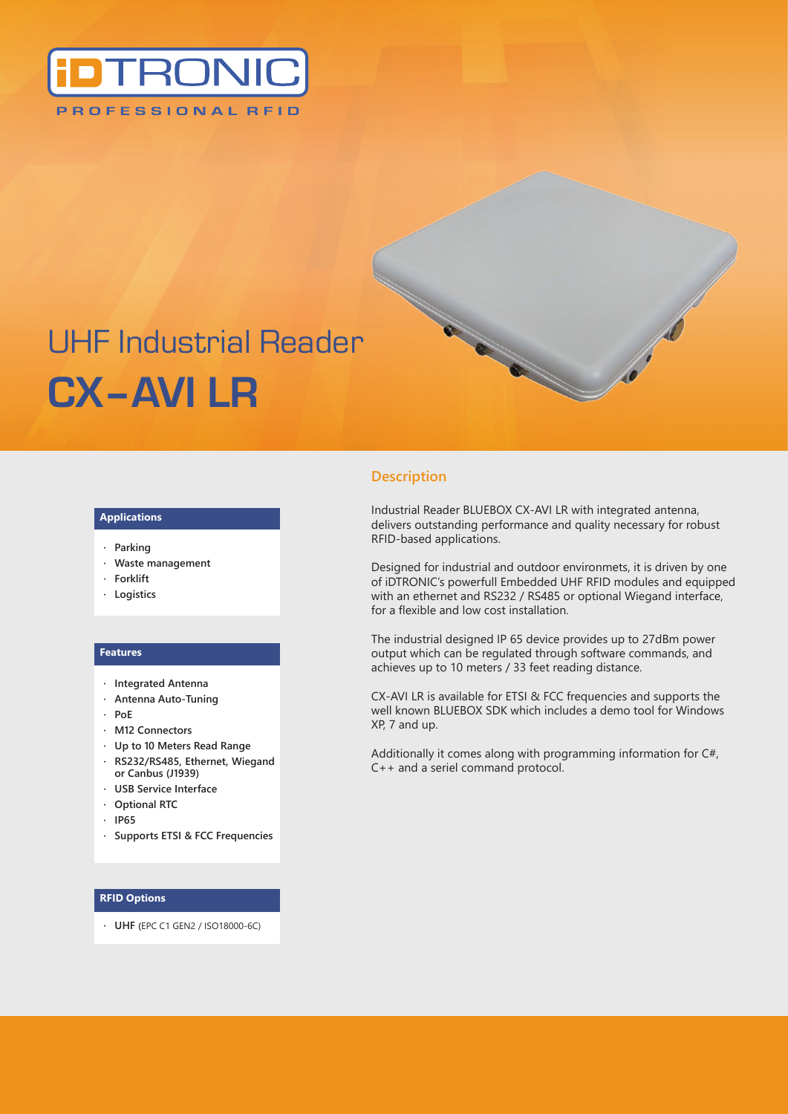

# UHF Industrial Reader **CX–AVI LR**

#### **Applications**

- **· Parking**
- **· Waste management**
- **· Forklift**
- **· Logistics**

#### **Features**

- **· Integrated Antenna**
- **· Antenna Auto-Tuning**
- **· PoE**
- **· M12 Connectors**
- **· Up to 10 Meters Read Range**
- **· RS232/RS485, Ethernet, Wiegand or Canbus (J1939)**
- **· USB Service Interface**
- **· Optional RTC**
- **· IP65**
- **· Supports ETSI & FCC Frequencies**

#### **· RFID Options**

**· UHF (**EPC C1 GEN2 / ISO18000-6C)

## **Description**

Industrial Reader BLUEBOX CX-AVI LR with integrated antenna, delivers outstanding performance and quality necessary for robust RFID-based applications.

Designed for industrial and outdoor environmets, it is driven by one of iDTRONIC's powerfull Embedded UHF RFID modules and equipped with an ethernet and RS232 / RS485 or optional Wiegand interface, for a flexible and low cost installation.

The industrial designed IP 65 device provides up to 27dBm power output which can be regulated through software commands, and achieves up to 10 meters / 33 feet reading distance.

CX-AVI LR is available for ETSI & FCC frequencies and supports the well known BLUEBOX SDK which includes a demo tool for Windows XP, 7 and up.

Additionally it comes along with programming information for C#, C++ and a seriel command protocol.